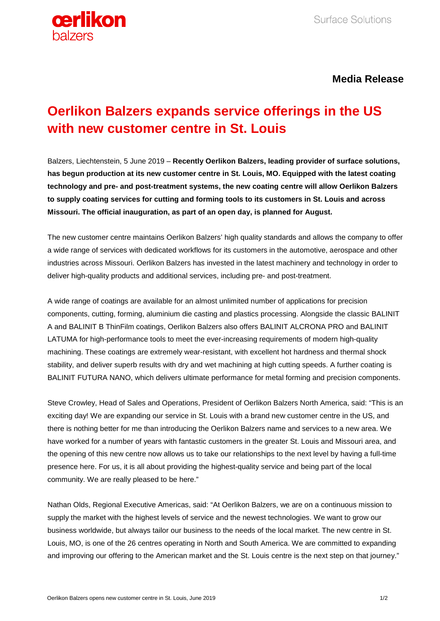

## **Media Release**

## **Oerlikon Balzers expands service offerings in the US with new customer centre in St. Louis**

Balzers, Liechtenstein, 5 June 2019 – **Recently Oerlikon Balzers, leading provider of surface solutions, has begun production at its new customer centre in St. Louis, MO. Equipped with the latest coating technology and pre- and post-treatment systems, the new coating centre will allow Oerlikon Balzers to supply coating services for cutting and forming tools to its customers in St. Louis and across Missouri. The official inauguration, as part of an open day, is planned for August.** 

The new customer centre maintains Oerlikon Balzers' high quality standards and allows the company to offer a wide range of services with dedicated workflows for its customers in the automotive, aerospace and other industries across Missouri. Oerlikon Balzers has invested in the latest machinery and technology in order to deliver high-quality products and additional services, including pre- and post-treatment.

A wide range of coatings are available for an almost unlimited number of applications for precision components, cutting, forming, aluminium die casting and plastics processing. Alongside the classic BALINIT A and BALINIT B ThinFilm coatings, Oerlikon Balzers also offers BALINIT ALCRONA PRO and BALINIT LATUMA for high-performance tools to meet the ever-increasing requirements of modern high-quality machining. These coatings are extremely wear-resistant, with excellent hot hardness and thermal shock stability, and deliver superb results with dry and wet machining at high cutting speeds. A further coating is BALINIT FUTURA NANO, which delivers ultimate performance for metal forming and precision components.

Steve Crowley, Head of Sales and Operations, President of Oerlikon Balzers North America, said: "This is an exciting day! We are expanding our service in St. Louis with a brand new customer centre in the US, and there is nothing better for me than introducing the Oerlikon Balzers name and services to a new area. We have worked for a number of years with fantastic customers in the greater St. Louis and Missouri area, and the opening of this new centre now allows us to take our relationships to the next level by having a full-time presence here. For us, it is all about providing the highest-quality service and being part of the local community. We are really pleased to be here."

Nathan Olds, Regional Executive Americas, said: "At Oerlikon Balzers, we are on a continuous mission to supply the market with the highest levels of service and the newest technologies. We want to grow our business worldwide, but always tailor our business to the needs of the local market. The new centre in St. Louis, MO, is one of the 26 centres operating in North and South America. We are committed to expanding and improving our offering to the American market and the St. Louis centre is the next step on that journey."